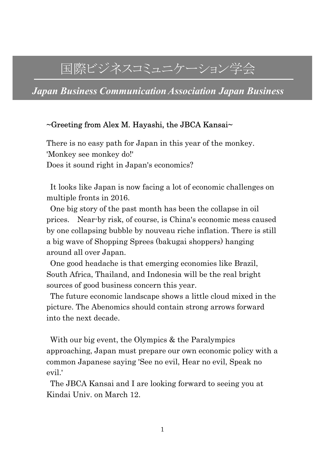# 国際ビジネスコミュニケーション学会

Japan Business Communication Association Japan Business

## $\sim$ Greeting from Alex M. Hayashi, the JBCA Kansai $\sim$

There is no easy path for Japan in this year of the monkey. 'Monkey see monkey do!' Does it sound right in Japan's economics?

It looks like Japan is now facing a lot of economic challenges on multiple fronts in 2016.

One big story of the past month has been the collapse in oil prices. Near-by risk, of course, is China's economic mess caused by one collapsing bubble by nouveau riche inflation. There is still a big wave of Shopping Sprees (bakugai shoppers) hanging around all over Japan.

One good headache is that emerging economies like Brazil, South Africa, Thailand, and Indonesia will be the real bright sources of good business concern this year.

The future economic landscape shows a little cloud mixed in the picture. The Abenomics should contain strong arrows forward into the next decade.

With our big event, the Olympics & the Paralympics approaching, Japan must prepare our own economic policy with a common Japanese saying 'See no evil, Hear no evil, Speak no evil.'

The JBCA Kansai and I are looking forward to seeing you at Kindai Univ. on March 12.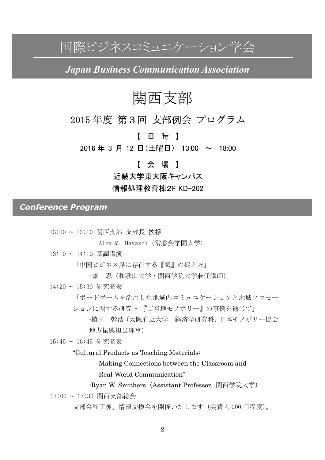国際ビジネスコミュニケーション学会

Japan Business Communication Association

## 関西支部

## 2015 年度 第3回 支部例会 プログラム

【 日 時 】

2016 年 3 月 12 日(土曜日) 13:00 ~ 18:00

## 【 会 場 】

近畿大学東大阪キャンパス

情報処理教育棟2F KD-202

Conference Program

13:00 ~ 13:10 関西支部 支部長 挨拶

Alex M. Hayashi (常磐会学園大学)

13:10 ~ 14:10 基調講演

「中国ビジネス界に存在する『気』の捉え方」

-畑 忍(和歌山大学・関西学院大学兼任講師)

14:20 ~ 15:30 研究発表

「ボードゲームを活用した地域内コミュニケーションと地域プロモー ションに関する研究 - 『ご当地モノポリー』の事例を通じて」

-植田 幹浩(大阪府立大学 経済学研究科、日本モノポリー協会 地方振興担当理事)

15:45 ~ 16:45 研究発表

"Cultural Products as Teaching Materials:

Making Connections between the Classroom and

Real-World Communication"

-Ryan W. Smithers (Assistant Professor, 関西学院大学)

17:00 ~ 17:30 関西支部総会

支部会終了後、情報交換会を開催いたします(会費 4,000 円程度)。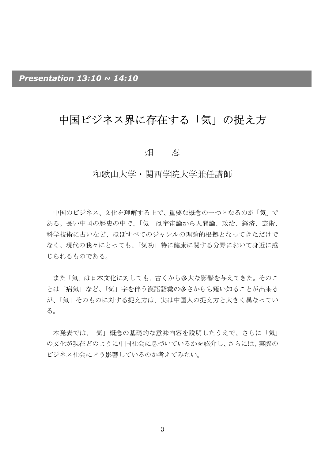## 中国ビジネス界に存在する「気」の捉え方

### 畑 忍

## 和歌山大学・関西学院大学兼任講師

 中国のビジネス、文化を理解する上で、重要な概念の一つとなるのが「気」で ある。長い中国の歴史の中で、「気」は宇宙論から人間論、政治、経済、芸術、 科学技術に占いなど、ほぼすべてのジャンルの理論的根拠となってきただけで なく、現代の我々にとっても、「気功」特に健康に関する分野において身近に感 じられるものである。

また「気」は日本文化に対しても、古くから多大な影響を与えてきた。そのこ とは「病気」など、「気」字を伴う漢語語彙の多さからも窺い知ることが出来る が、「気」そのものに対する捉え方は、実は中国人の捉え方と大きく異なってい る。

 本発表では、「気」概念の基礎的な意味内容を説明したうえで、さらに「気」 の文化が現在どのように中国社会に息づいているかを紹介し、さらには、実際の ビジネス社会にどう影響しているのか考えてみたい。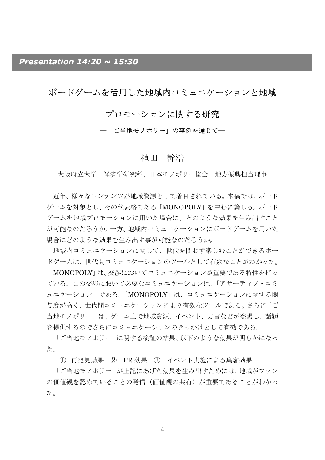## ボードゲームを活用した地域内コミュニケーションと地域

## プロモーションに関する研究

#### ―「ご当地モノポリー」の事例を通じて―

#### 植田 幹浩

大阪府立大学 経済学研究科、日本モノポリー協会 地方振興担当理事

 近年、様々なコンテンツが地域資源として着目されている。本稿では、ボード ゲームを対象とし、その代表格である「MONOPOLY」を中心に論じる。ボード ゲームを地域プロモーションに用いた場合に、どのような効果を生み出すこと が可能なのだろうか。一方、地域内コミュニケーションにボードゲームを用いた 場合にどのような効果を生み出す事が可能なのだろうか。

 地域内コミュニケーションに関して、世代を問わず楽しむことができるボー ドゲームは、世代間コミュニケーションのツールとして有効なことがわかった。

「MONOPOLY」は、交渉においてコミュニケーションが重要である特性を持っ ている。この交渉において必要なコミュニケーションは、「アサーティブ・コミ ュニケーション」である。「MONOPOLY」は、コミュニケーションに関する関 与度が高く、世代間コミュニケーションにより有効なツールである。さらに「ご 当地モノポリー」は、ゲーム上で地域資源、イベント、方言などが登場し、話題 を提供するのでさらにコミュニケーションのきっかけとして有効である。

「ご当地モノポリー」に関する検証の結果、以下のような効果が明らかになっ た。

① 再発見効果 ② PR 効果 ③ イベント実施による集客効果

「ご当地モノポリー」が上記にあげた効果を生み出すためには、地域がファン の価値観を認めていることの発信(価値観の共有)が重要であることがわかっ た。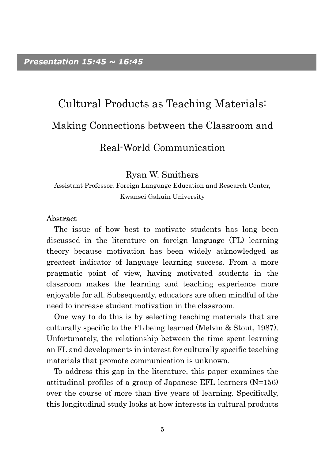# Cultural Products as Teaching Materials: Making Connections between the Classroom and

Real-World Communication

Ryan W. Smithers

Assistant Professor, Foreign Language Education and Research Center, Kwansei Gakuin University

## Abstract

The issue of how best to motivate students has long been discussed in the literature on foreign language (FL) learning theory because motivation has been widely acknowledged as greatest indicator of language learning success. From a more pragmatic point of view, having motivated students in the classroom makes the learning and teaching experience more enjoyable for all. Subsequently, educators are often mindful of the need to increase student motivation in the classroom.

One way to do this is by selecting teaching materials that are culturally specific to the FL being learned (Melvin & Stout, 1987). Unfortunately, the relationship between the time spent learning an FL and developments in interest for culturally specific teaching materials that promote communication is unknown.

To address this gap in the literature, this paper examines the attitudinal profiles of a group of Japanese EFL learners (N=156) over the course of more than five years of learning. Specifically, this longitudinal study looks at how interests in cultural products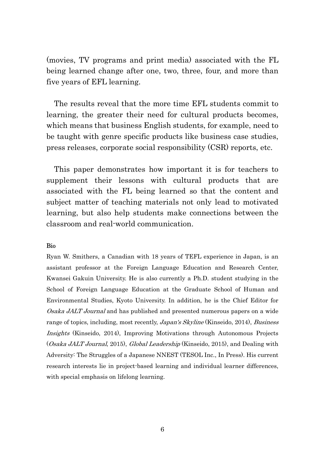(movies, TV programs and print media) associated with the FL being learned change after one, two, three, four, and more than five years of EFL learning.

The results reveal that the more time EFL students commit to learning, the greater their need for cultural products becomes, which means that business English students, for example, need to be taught with genre specific products like business case studies, press releases, corporate social responsibility (CSR) reports, etc.

This paper demonstrates how important it is for teachers to supplement their lessons with cultural products that are associated with the FL being learned so that the content and subject matter of teaching materials not only lead to motivated learning, but also help students make connections between the classroom and real-world communication.

#### Bio

Ryan W. Smithers, a Canadian with 18 years of TEFL experience in Japan, is an assistant professor at the Foreign Language Education and Research Center, Kwansei Gakuin University. He is also currently a Ph.D. student studying in the School of Foreign Language Education at the Graduate School of Human and Environmental Studies, Kyoto University. In addition, he is the Chief Editor for Osaka JALT Journal and has published and presented numerous papers on a wide range of topics, including, most recently, Japan's Skyline (Kinseido, 2014), Business Insights (Kinseido, 2014), Improving Motivations through Autonomous Projects (Osaka JALT Journal, 2015), Global Leadership (Kinseido, 2015), and Dealing with Adversity: The Struggles of a Japanese NNEST (TESOL Inc., In Press). His current research interests lie in project-based learning and individual learner differences, with special emphasis on lifelong learning.